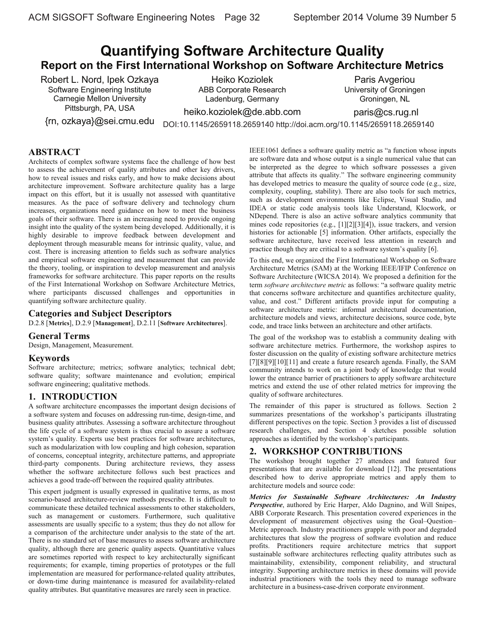# **Quantifying Software Architecture Quality Report on the First International Workshop on Software Architecture Metrics**

Robert L. Nord, Ipek Ozkaya Software Engineering Institute Carnegie Mellon University Pittsburgh, PA, USA

{rn, ozkaya}@sei.cmu.edu

Heiko Koziolek ABB Corporate Research Ladenburg, Germany

heiko.koziolek@de.abb.com

Paris Avgeriou University of Groningen Groningen, NL

paris@cs.rug.nl

DOI:10.1145/2659118.2659140 http://doi.acm.org/10.1145/2659118.2659140

# **ABSTRACT**

Architects of complex software systems face the challenge of how best to assess the achievement of quality attributes and other key drivers, how to reveal issues and risks early, and how to make decisions about architecture improvement. Software architecture quality has a large impact on this effort, but it is usually not assessed with quantitative measures. As the pace of software delivery and technology churn increases, organizations need guidance on how to meet the business goals of their software. There is an increasing need to provide ongoing insight into the quality of the system being developed. Additionally, it is highly desirable to improve feedback between development and deployment through measurable means for intrinsic quality, value, and cost. There is increasing attention to fields such as software analytics and empirical software engineering and measurement that can provide the theory, tooling, or inspiration to develop measurement and analysis frameworks for software architecture. This paper reports on the results of the First International Workshop on Software Architecture Metrics, where participants discussed challenges and opportunities in quantifying software architecture quality.

## **Categories and Subject Descriptors**

D.2.8 [**Metrics**], D.2.9 [**Management**], D.2.11 [**Software Architectures**].

## **General Terms**

Design, Management, Measurement.

## **Keywords**

Software architecture; metrics; software analytics; technical debt; software quality; software maintenance and evolution; empirical software engineering; qualitative methods.

# **1. INTRODUCTION**

A software architecture encompasses the important design decisions of a software system and focuses on addressing run-time, design-time, and business quality attributes. Assessing a software architecture throughout the life cycle of a software system is thus crucial to assure a software system's quality. Experts use best practices for software architectures, such as modularization with low coupling and high cohesion, separation of concerns, conceptual integrity, architecture patterns, and appropriate third-party components. During architecture reviews, they assess whether the software architecture follows such best practices and achieves a good trade-off between the required quality attributes.

This expert judgment is usually expressed in qualitative terms, as most scenario-based architecture-review methods prescribe. It is difficult to communicate these detailed technical assessments to other stakeholders, such as management or customers. Furthermore, such qualitative assessments are usually specific to a system; thus they do not allow for a comparison of the architecture under analysis to the state of the art. There is no standard set of base measures to assess software architecture quality, although there are generic quality aspects. Quantitative values are sometimes reported with respect to key architecturally significant requirements; for example, timing properties of prototypes or the full implementation are measured for performance-related quality attributes, or down-time during maintenance is measured for availability-related quality attributes. But quantitative measures are rarely seen in practice.

IEEE1061 defines a software quality metric as "a function whose inputs are software data and whose output is a single numerical value that can be interpreted as the degree to which software possesses a given attribute that affects its quality." The software engineering community has developed metrics to measure the quality of source code (e.g., size, complexity, coupling, stability). There are also tools for such metrics, such as development environments like Eclipse, Visual Studio, and IDEA or static code analysis tools like Understand, Klocwork, or NDepend. There is also an active software analytics community that mines code repositories (e.g., [1][2][3][4]), issue trackers, and version histories for actionable [5] information. Other artifacts, especially the software architecture, have received less attention in research and practice though they are critical to a software system's quality [6].

To this end, we organized the First International Workshop on Software Architecture Metrics (SAM) at the Working IEEE/IFIP Conference on Software Architecture (WICSA 2014). We proposed a definition for the term *software architecture metric* as follows: "a software quality metric that concerns software architecture and quantifies architecture quality, value, and cost." Different artifacts provide input for computing a software architecture metric: informal architectural documentation, architecture models and views, architecture decisions, source code, byte code, and trace links between an architecture and other artifacts.

The goal of the workshop was to establish a community dealing with software architecture metrics. Furthermore, the workshop aspires to foster discussion on the quality of existing software architecture metrics [7][8][9][10][11] and create a future research agenda. Finally, the SAM community intends to work on a joint body of knowledge that would lower the entrance barrier of practitioners to apply software architecture metrics and extend the use of other related metrics for improving the quality of software architectures.

The remainder of this paper is structured as follows. Section 2 summarizes presentations of the workshop's participants illustrating different perspectives on the topic. Section 3 provides a list of discussed research challenges, and Section 4 sketches possible solution approaches as identified by the workshop's participants.

# **2. WORKSHOP CONTRIBUTIONS**

The workshop brought together 27 attendees and featured four presentations that are available for download [12]. The presentations described how to derive appropriate metrics and apply them to architecture models and source code:

*Metrics for Sustainable Software Architectures: An Industry Perspective*, authored by Eric Harper, Aldo Dagnino, and Will Snipes, ABB Corporate Research. This presentation covered experiences in the development of measurement objectives using the Goal–Question– Metric approach. Industry practitioners grapple with poor and degraded architectures that slow the progress of software evolution and reduce profits. Practitioners require architecture metrics that support sustainable software architectures reflecting quality attributes such as maintainability, extensibility, component reliability, and structural integrity. Supporting architecture metrics in these domains will provide industrial practitioners with the tools they need to manage software architecture in a business-case-driven corporate environment.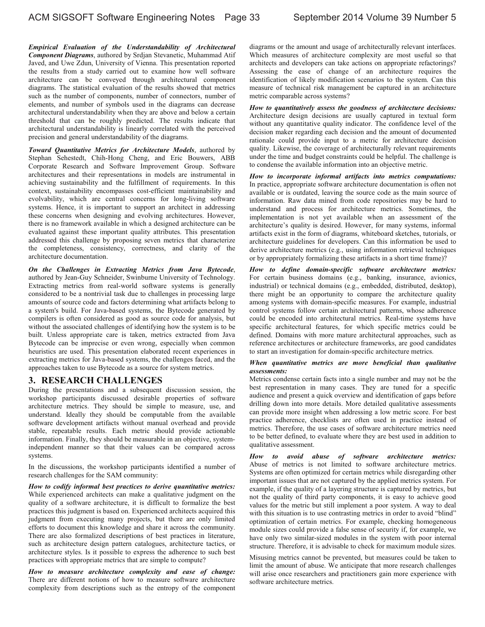*Empirical Evaluation of the Understandability of Architectural Component Diagrams*, authored by Srdjan Stevanetic, Muhammad Atif Javed, and Uwe Zdun, University of Vienna. This presentation reported the results from a study carried out to examine how well software architecture can be conveyed through architectural component diagrams. The statistical evaluation of the results showed that metrics such as the number of components, number of connectors, number of elements, and number of symbols used in the diagrams can decrease architectural understandability when they are above and below a certain threshold that can be roughly predicted. The results indicate that architectural understandability is linearly correlated with the perceived precision and general understandability of the diagrams.

*Toward Quantitative Metrics for Architecture Models*, authored by Stephan Sehestedt, Chih-Hong Cheng, and Eric Bouwers, ABB Corporate Research and Software Improvement Group. Software architectures and their representations in models are instrumental in achieving sustainability and the fulfillment of requirements. In this context, sustainability encompasses cost-efficient maintainability and evolvability, which are central concerns for long-living software systems. Hence, it is important to support an architect in addressing these concerns when designing and evolving architectures. However, there is no framework available in which a designed architecture can be evaluated against these important quality attributes. This presentation addressed this challenge by proposing seven metrics that characterize the completeness, consistency, correctness, and clarity of the architecture documentation.

*On the Challenges in Extracting Metrics from Java Bytecode*, authored by Jean-Guy Schneider, Swinburne University of Technology. Extracting metrics from real-world software systems is generally considered to be a nontrivial task due to challenges in processing large amounts of source code and factors determining what artifacts belong to a system's build. For Java-based systems, the Bytecode generated by compilers is often considered as good as source code for analysis, but without the associated challenges of identifying how the system is to be built. Unless appropriate care is taken, metrics extracted from Java Bytecode can be imprecise or even wrong, especially when common heuristics are used. This presentation elaborated recent experiences in extracting metrics for Java-based systems, the challenges faced, and the approaches taken to use Bytecode as a source for system metrics.

## **3. RESEARCH CHALLENGES**

During the presentations and a subsequent discussion session, the workshop participants discussed desirable properties of software architecture metrics. They should be simple to measure, use, and understand. Ideally they should be computable from the available software development artifacts without manual overhead and provide stable, repeatable results. Each metric should provide actionable information. Finally, they should be measurable in an objective, systemindependent manner so that their values can be compared across systems.

In the discussions, the workshop participants identified a number of research challenges for the SAM community:

*How to codify informal best practices to derive quantitative metrics:* While experienced architects can make a qualitative judgment on the quality of a software architecture, it is difficult to formalize the best practices this judgment is based on. Experienced architects acquired this judgment from executing many projects, but there are only limited efforts to document this knowledge and share it across the community. There are also formalized descriptions of best practices in literature, such as architecture design pattern catalogues, architecture tactics, or architecture styles. Is it possible to express the adherence to such best practices with appropriate metrics that are simple to compute?

*How to measure architecture complexity and ease of change:* There are different notions of how to measure software architecture complexity from descriptions such as the entropy of the component diagrams or the amount and usage of architecturally relevant interfaces. Which measures of architecture complexity are most useful so that architects and developers can take actions on appropriate refactorings? Assessing the ease of change of an architecture requires the identification of likely modification scenarios to the system. Can this measure of technical risk management be captured in an architecture metric comparable across systems?

*How to quantitatively assess the goodness of architecture decisions:*  Architecture design decisions are usually captured in textual form without any quantitative quality indicator. The confidence level of the decision maker regarding each decision and the amount of documented rationale could provide input to a metric for architecture decision quality. Likewise, the coverage of architecturally relevant requirements under the time and budget constraints could be helpful. The challenge is to condense the available information into an objective metric.

*How to incorporate informal artifacts into metrics computations:*  In practice, appropriate software architecture documentation is often not available or is outdated, leaving the source code as the main source of information. Raw data mined from code repositories may be hard to understand and process for architecture metrics. Sometimes, the implementation is not yet available when an assessment of the architecture's quality is desired. However, for many systems, informal artifacts exist in the form of diagrams, whiteboard sketches, tutorials, or architecture guidelines for developers. Can this information be used to derive architecture metrics (e.g., using information retrieval techniques or by appropriately formalizing these artifacts in a short time frame)?

*How to define domain-specific software architecture metrics:*  For certain business domains (e.g., banking, insurance, avionics, industrial) or technical domains (e.g., embedded, distributed, desktop), there might be an opportunity to compare the architecture quality among systems with domain-specific measures. For example, industrial control systems follow certain architectural patterns, whose adherence could be encoded into architectural metrics. Real-time systems have specific architectural features, for which specific metrics could be defined. Domains with more mature architectural approaches, such as reference architectures or architecture frameworks, are good candidates to start an investigation for domain-specific architecture metrics.

#### *When quantitative metrics are more beneficial than qualitative assessments:*

Metrics condense certain facts into a single number and may not be the best representation in many cases. They are tuned for a specific audience and present a quick overview and identification of gaps before drilling down into more details. More detailed qualitative assessments can provide more insight when addressing a low metric score. For best practice adherence, checklists are often used in practice instead of metrics. Therefore, the use cases of software architecture metrics need to be better defined, to evaluate where they are best used in addition to qualitative assessment.

*How to avoid abuse of software architecture metrics:*  Abuse of metrics is not limited to software architecture metrics. Systems are often optimized for certain metrics while disregarding other important issues that are not captured by the applied metrics system. For example, if the quality of a layering structure is captured by metrics, but not the quality of third party components, it is easy to achieve good values for the metric but still implement a poor system. A way to deal with this situation is to use contrasting metrics in order to avoid "blind" optimization of certain metrics. For example, checking homogeneous module sizes could provide a false sense of security if, for example, we have only two similar-sized modules in the system with poor internal structure. Therefore, it is advisable to check for maximum module sizes.

Misusing metrics cannot be prevented, but measures could be taken to limit the amount of abuse. We anticipate that more research challenges will arise once researchers and practitioners gain more experience with software architecture metrics.